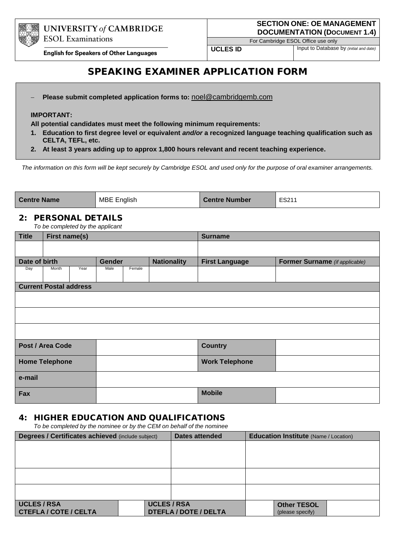

For Cambridge ESOL Office use only

**UCLES ID** Input to Database by *(initial and date)* 

**English for Speakers of Other Languages** 

# SPEAKING EXAMINER APPLICATION FORM

− **Please submit completed application forms to:** noel@cambridgemb.com

#### **IMPORTANT:**

**All potential candidates must meet the following minimum requirements:**

- **1. Education to first degree level or equivalent** *and/or* **a recognized language teaching qualification such as CELTA, TEFL, etc.**
- **2. At least 3 years adding up to approx 1,800 hours relevant and recent teaching experience.**

*The information on this form will be kept securely by Cambridge ESOL and used only for the purpose of oral examiner arrangements.*

| MBE English<br><b>Centre Name</b><br><b>Centre Number</b> | ES211 |
|-----------------------------------------------------------|-------|
|-----------------------------------------------------------|-------|

### 2: PERSONAL DETAILS

*To be completed by the applicant*

| <b>Title</b>          | First name(s)                 |      |        |                | <b>Surname</b>        |                       |                                       |  |
|-----------------------|-------------------------------|------|--------|----------------|-----------------------|-----------------------|---------------------------------------|--|
|                       |                               |      |        |                |                       |                       |                                       |  |
| Date of birth         |                               |      | Gender |                | <b>Nationality</b>    | <b>First Language</b> | <b>Former Surname</b> (if applicable) |  |
| Day                   | Month                         | Year | Male   | Female         |                       |                       |                                       |  |
|                       | <b>Current Postal address</b> |      |        |                |                       |                       |                                       |  |
|                       |                               |      |        |                |                       |                       |                                       |  |
|                       |                               |      |        |                |                       |                       |                                       |  |
|                       |                               |      |        |                |                       |                       |                                       |  |
| Post / Area Code      |                               |      |        | <b>Country</b> |                       |                       |                                       |  |
| <b>Home Telephone</b> |                               |      |        |                | <b>Work Telephone</b> |                       |                                       |  |
| e-mail                |                               |      |        |                |                       |                       |                                       |  |
| Fax                   |                               |      |        |                | <b>Mobile</b>         |                       |                                       |  |

#### 4: HIGHER EDUCATION AND QUALIFICATIONS

 *To be completed by the nominee or by the CEM on behalf of the nominee*

| Degrees / Certificates achieved (include subject) | <b>Dates attended</b> | <b>Education Institute (Name / Location)</b> |  |                    |  |
|---------------------------------------------------|-----------------------|----------------------------------------------|--|--------------------|--|
|                                                   |                       |                                              |  |                    |  |
|                                                   |                       |                                              |  |                    |  |
|                                                   |                       |                                              |  |                    |  |
|                                                   |                       |                                              |  |                    |  |
|                                                   |                       |                                              |  |                    |  |
|                                                   |                       |                                              |  |                    |  |
|                                                   |                       |                                              |  |                    |  |
| <b>UCLES / RSA</b>                                | <b>UCLES / RSA</b>    |                                              |  | <b>Other TESOL</b> |  |
| CTEFLA / COTE / CELTA                             |                       | <b>DTEFLA / DOTE / DELTA</b>                 |  | (please specify)   |  |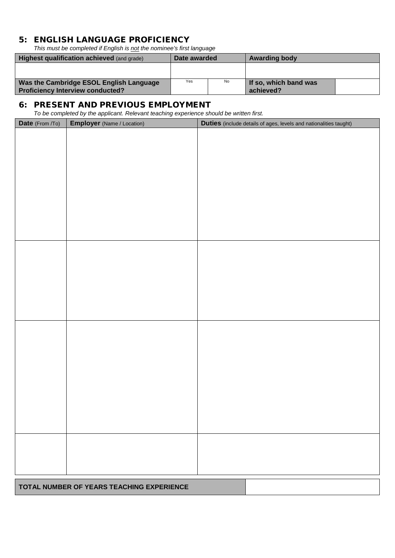### 5: ENGLISH LANGUAGE PROFICIENCY

*This must be completed if English is not the nominee's first language*

| <b>Highest qualification achieved (and grade)</b>                                  | Date awarded |     | <b>Awarding body</b>               |  |
|------------------------------------------------------------------------------------|--------------|-----|------------------------------------|--|
|                                                                                    |              |     |                                    |  |
| Was the Cambridge ESOL English Language<br><b>Proficiency Interview conducted?</b> | Yes          | No. | If so, which band was<br>achieved? |  |

#### 6: PRESENT AND PREVIOUS EMPLOYMENT

*To be completed by the applicant. Relevant teaching experience should be written first.* 

| Date (From /To) | To be completed by the applicant. Here vant teaching experience should be written mot.<br><b>Employer</b> (Name / Location) | Duties (include details of ages, levels and nationalities taught) |
|-----------------|-----------------------------------------------------------------------------------------------------------------------------|-------------------------------------------------------------------|
|                 |                                                                                                                             |                                                                   |
|                 |                                                                                                                             |                                                                   |
|                 |                                                                                                                             |                                                                   |
|                 |                                                                                                                             |                                                                   |
|                 |                                                                                                                             |                                                                   |
|                 |                                                                                                                             |                                                                   |
|                 |                                                                                                                             |                                                                   |
|                 |                                                                                                                             |                                                                   |
|                 |                                                                                                                             |                                                                   |
|                 |                                                                                                                             |                                                                   |
|                 |                                                                                                                             |                                                                   |
|                 |                                                                                                                             |                                                                   |
|                 |                                                                                                                             |                                                                   |
|                 |                                                                                                                             |                                                                   |
|                 |                                                                                                                             |                                                                   |
|                 |                                                                                                                             |                                                                   |
|                 |                                                                                                                             |                                                                   |
|                 |                                                                                                                             |                                                                   |
|                 |                                                                                                                             |                                                                   |
|                 |                                                                                                                             |                                                                   |
|                 |                                                                                                                             |                                                                   |
|                 |                                                                                                                             |                                                                   |
|                 |                                                                                                                             |                                                                   |
|                 |                                                                                                                             |                                                                   |
|                 |                                                                                                                             |                                                                   |
|                 |                                                                                                                             |                                                                   |
|                 |                                                                                                                             |                                                                   |
|                 |                                                                                                                             |                                                                   |
|                 |                                                                                                                             |                                                                   |
|                 | TOTAL NUMBER OF YEARS TEACHING EXPERIENCE                                                                                   |                                                                   |